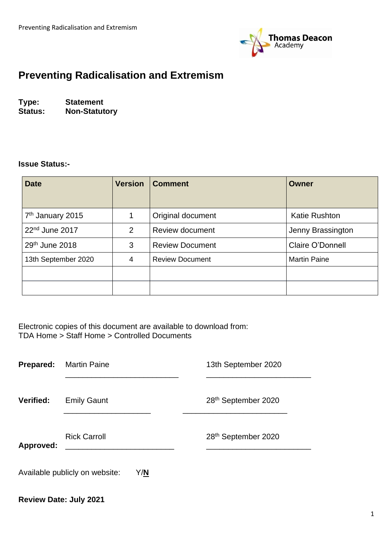

## **Preventing Radicalisation and Extremism**

**Type: Statement Status: Non-Statutory**

#### **Issue Status:-**

| <b>Date</b>                  | <b>Version</b> | <b>Comment</b>         | <b>Owner</b>         |
|------------------------------|----------------|------------------------|----------------------|
| 7 <sup>th</sup> January 2015 | 1              | Original document      | <b>Katie Rushton</b> |
| $22nd$ June 2017             | 2              | <b>Review document</b> | Jenny Brassington    |
| 29th June 2018               | 3              | <b>Review Document</b> | Claire O'Donnell     |
| 13th September 2020          | 4              | <b>Review Document</b> | <b>Martin Paine</b>  |
|                              |                |                        |                      |
|                              |                |                        |                      |

Electronic copies of this document are available to download from: TDA Home > Staff Home > Controlled Documents

| <b>Prepared:</b> | <b>Martin Paine</b>                   | 13th September 2020             |
|------------------|---------------------------------------|---------------------------------|
| <b>Verified:</b> | <b>Emily Gaunt</b>                    | 28 <sup>th</sup> September 2020 |
| Approved:        | <b>Rick Carroll</b>                   | 28th September 2020             |
|                  | Available publicly on website:<br>Y/N |                                 |

## **Review Date: July 2021**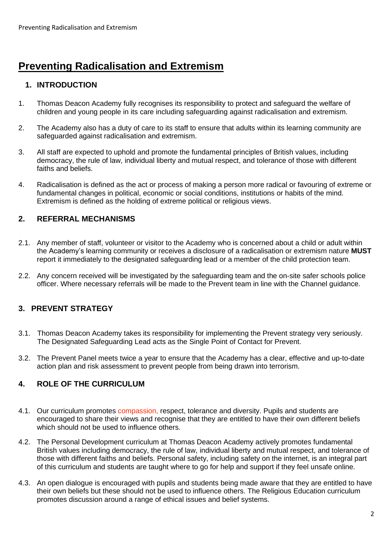# **Preventing Radicalisation and Extremism**

## **1. INTRODUCTION**

- 1. Thomas Deacon Academy fully recognises its responsibility to protect and safeguard the welfare of children and young people in its care including safeguarding against radicalisation and extremism.
- 2. The Academy also has a duty of care to its staff to ensure that adults within its learning community are safeguarded against radicalisation and extremism.
- 3. All staff are expected to uphold and promote the fundamental principles of British values, including democracy, the rule of law, individual liberty and mutual respect, and tolerance of those with different faiths and beliefs.
- 4. Radicalisation is defined as the act or process of making a person more radical or favouring of extreme or fundamental changes in political, economic or social conditions, institutions or habits of the mind. Extremism is defined as the holding of extreme political or religious views.

#### **2. REFERRAL MECHANISMS**

- 2.1. Any member of staff, volunteer or visitor to the Academy who is concerned about a child or adult within the Academy's learning community or receives a disclosure of a radicalisation or extremism nature **MUST** report it immediately to the designated safeguarding lead or a member of the child protection team.
- 2.2. Any concern received will be investigated by the safeguarding team and the on-site safer schools police officer. Where necessary referrals will be made to the Prevent team in line with the Channel guidance.

## **3. PREVENT STRATEGY**

- 3.1. Thomas Deacon Academy takes its responsibility for implementing the Prevent strategy very seriously. The Designated Safeguarding Lead acts as the Single Point of Contact for Prevent.
- 3.2. The Prevent Panel meets twice a year to ensure that the Academy has a clear, effective and up-to-date action plan and risk assessment to prevent people from being drawn into terrorism.

### **4. ROLE OF THE CURRICULUM**

- 4.1. Our curriculum promotes compassion, respect, tolerance and diversity. Pupils and students are encouraged to share their views and recognise that they are entitled to have their own different beliefs which should not be used to influence others.
- 4.2. The Personal Development curriculum at Thomas Deacon Academy actively promotes fundamental British values including democracy, the rule of law, individual liberty and mutual respect, and tolerance of those with different faiths and beliefs. Personal safety, including safety on the internet, is an integral part of this curriculum and students are taught where to go for help and support if they feel unsafe online.
- 4.3. An open dialogue is encouraged with pupils and students being made aware that they are entitled to have their own beliefs but these should not be used to influence others. The Religious Education curriculum promotes discussion around a range of ethical issues and belief systems.